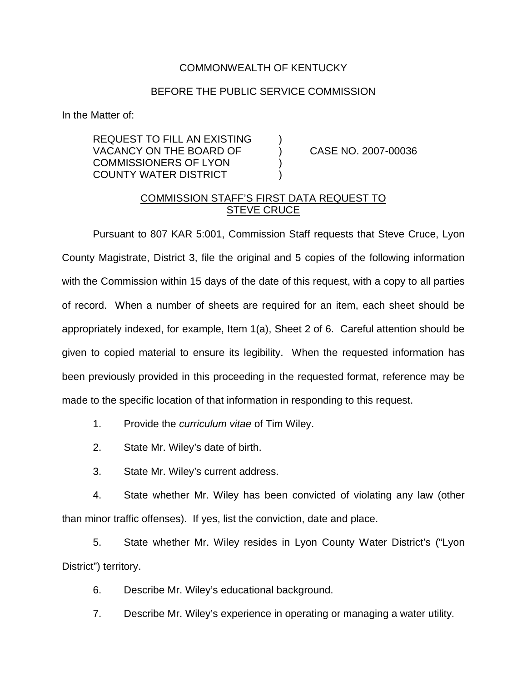## COMMONWEALTH OF KENTUCKY

## BEFORE THE PUBLIC SERVICE COMMISSION

In the Matter of:

REQUEST TO FILL AN EXISTING ) VACANCY ON THE BOARD OF (2007-00036) COMMISSIONERS OF LYON ) COUNTY WATER DISTRICT )

## COMMISSION STAFF'S FIRST DATA REQUEST TO STEVE CRUCE

Pursuant to 807 KAR 5:001, Commission Staff requests that Steve Cruce, Lyon County Magistrate, District 3, file the original and 5 copies of the following information with the Commission within 15 days of the date of this request, with a copy to all parties of record. When a number of sheets are required for an item, each sheet should be appropriately indexed, for example, Item 1(a), Sheet 2 of 6. Careful attention should be given to copied material to ensure its legibility. When the requested information has been previously provided in this proceeding in the requested format, reference may be made to the specific location of that information in responding to this request.

- 1. Provide the *curriculum vitae* of Tim Wiley.
- 2. State Mr. Wiley's date of birth.
- 3. State Mr. Wiley's current address.

4. State whether Mr. Wiley has been convicted of violating any law (other than minor traffic offenses). If yes, list the conviction, date and place.

5. State whether Mr. Wiley resides in Lyon County Water District's ("Lyon District") territory.

6. Describe Mr. Wiley's educational background.

7. Describe Mr. Wiley's experience in operating or managing a water utility.